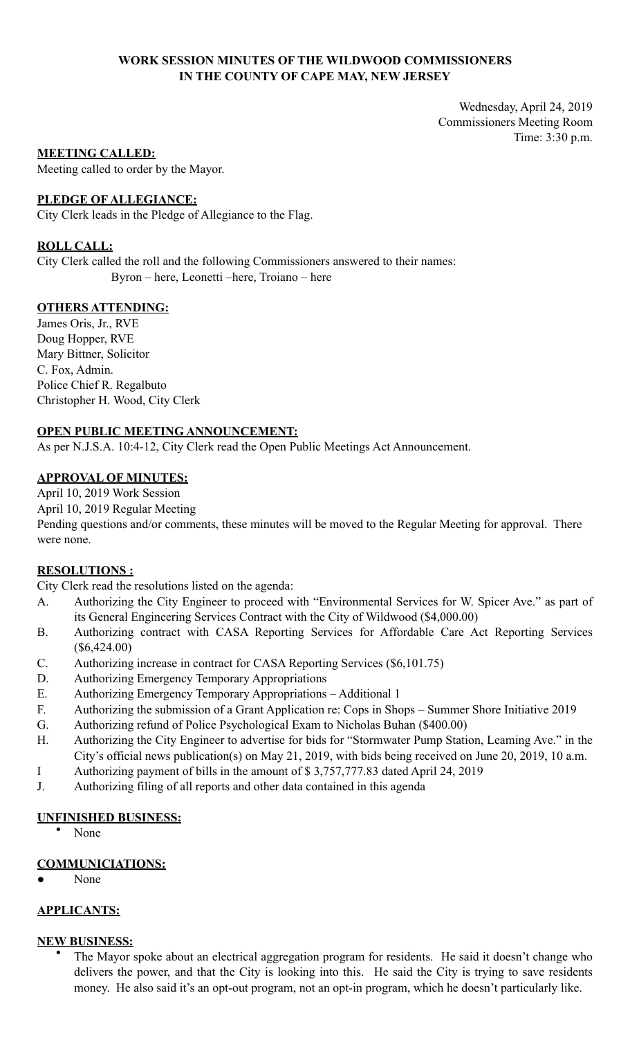# **WORK SESSION MINUTES OF THE WILDWOOD COMMISSIONERS IN THE COUNTY OF CAPE MAY, NEW JERSEY**

Wednesday, April 24, 2019 Commissioners Meeting Room Time: 3:30 p.m.

### **MEETING CALLED:**

Meeting called to order by the Mayor.

# **PLEDGE OF ALLEGIANCE:**

City Clerk leads in the Pledge of Allegiance to the Flag.

# **ROLL CALL:**

City Clerk called the roll and the following Commissioners answered to their names: Byron – here, Leonetti –here, Troiano – here

# **OTHERS ATTENDING:**

James Oris, Jr., RVE Doug Hopper, RVE Mary Bittner, Solicitor C. Fox, Admin. Police Chief R. Regalbuto Christopher H. Wood, City Clerk

# **OPEN PUBLIC MEETING ANNOUNCEMENT:**

As per N.J.S.A. 10:4-12, City Clerk read the Open Public Meetings Act Announcement.

# **APPROVAL OF MINUTES:**

April 10, 2019 Work Session

April 10, 2019 Regular Meeting

Pending questions and/or comments, these minutes will be moved to the Regular Meeting for approval. There were none.

### **RESOLUTIONS :**

City Clerk read the resolutions listed on the agenda:

- A. Authorizing the City Engineer to proceed with "Environmental Services for W. Spicer Ave." as part of its General Engineering Services Contract with the City of Wildwood (\$4,000.00)
- B. Authorizing contract with CASA Reporting Services for Affordable Care Act Reporting Services (\$6,424.00)
- C. Authorizing increase in contract for CASA Reporting Services (\$6,101.75)
- D. Authorizing Emergency Temporary Appropriations
- E. Authorizing Emergency Temporary Appropriations Additional 1
- F. Authorizing the submission of a Grant Application re: Cops in Shops Summer Shore Initiative 2019
- G. Authorizing refund of Police Psychological Exam to Nicholas Buhan (\$400.00)
- H. Authorizing the City Engineer to advertise for bids for "Stormwater Pump Station, Leaming Ave." in the City's official news publication(s) on May 21, 2019, with bids being received on June 20, 2019, 10 a.m.
- I Authorizing payment of bills in the amount of \$ 3,757,777.83 dated April 24, 2019
- J. Authorizing filing of all reports and other data contained in this agenda

### **UNFINISHED BUSINESS:**

• None

### **COMMUNICIATIONS:**

None

# **APPLICANTS:**

# **NEW BUSINESS:**

• The Mayor spoke about an electrical aggregation program for residents. He said it doesn't change who delivers the power, and that the City is looking into this. He said the City is trying to save residents money. He also said it's an opt-out program, not an opt-in program, which he doesn't particularly like.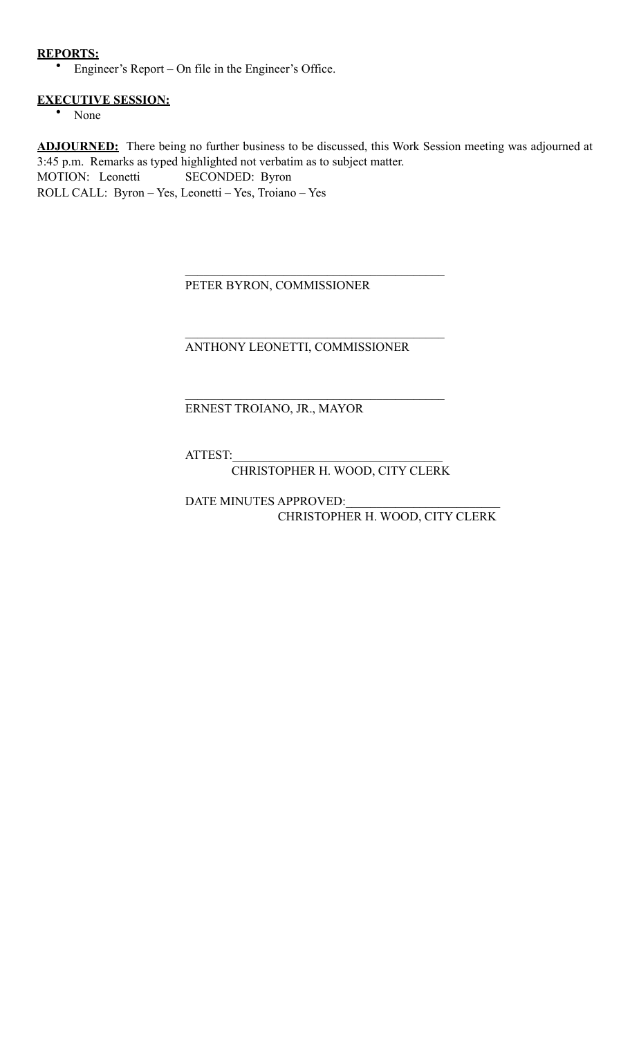# **REPORTS:**

• Engineer's Report – On file in the Engineer's Office.

# **EXECUTIVE SESSION:**

• None

**ADJOURNED:** There being no further business to be discussed, this Work Session meeting was adjourned at 3:45 p.m. Remarks as typed highlighted not verbatim as to subject matter. MOTION: Leonetti SECONDED: Byron ROLL CALL: Byron – Yes, Leonetti – Yes, Troiano – Yes

PETER BYRON, COMMISSIONER

 $\mathcal{L}_\mathcal{L} = \mathcal{L}_\mathcal{L} = \mathcal{L}_\mathcal{L} = \mathcal{L}_\mathcal{L} = \mathcal{L}_\mathcal{L} = \mathcal{L}_\mathcal{L} = \mathcal{L}_\mathcal{L} = \mathcal{L}_\mathcal{L} = \mathcal{L}_\mathcal{L} = \mathcal{L}_\mathcal{L} = \mathcal{L}_\mathcal{L} = \mathcal{L}_\mathcal{L} = \mathcal{L}_\mathcal{L} = \mathcal{L}_\mathcal{L} = \mathcal{L}_\mathcal{L} = \mathcal{L}_\mathcal{L} = \mathcal{L}_\mathcal{L}$ 

 $\mathcal{L}_\mathcal{L} = \mathcal{L}_\mathcal{L} = \mathcal{L}_\mathcal{L} = \mathcal{L}_\mathcal{L} = \mathcal{L}_\mathcal{L} = \mathcal{L}_\mathcal{L} = \mathcal{L}_\mathcal{L} = \mathcal{L}_\mathcal{L} = \mathcal{L}_\mathcal{L} = \mathcal{L}_\mathcal{L} = \mathcal{L}_\mathcal{L} = \mathcal{L}_\mathcal{L} = \mathcal{L}_\mathcal{L} = \mathcal{L}_\mathcal{L} = \mathcal{L}_\mathcal{L} = \mathcal{L}_\mathcal{L} = \mathcal{L}_\mathcal{L}$ 

 $\mathcal{L}_\mathcal{L} = \mathcal{L}_\mathcal{L} = \mathcal{L}_\mathcal{L} = \mathcal{L}_\mathcal{L} = \mathcal{L}_\mathcal{L} = \mathcal{L}_\mathcal{L} = \mathcal{L}_\mathcal{L} = \mathcal{L}_\mathcal{L} = \mathcal{L}_\mathcal{L} = \mathcal{L}_\mathcal{L} = \mathcal{L}_\mathcal{L} = \mathcal{L}_\mathcal{L} = \mathcal{L}_\mathcal{L} = \mathcal{L}_\mathcal{L} = \mathcal{L}_\mathcal{L} = \mathcal{L}_\mathcal{L} = \mathcal{L}_\mathcal{L}$ 

ANTHONY LEONETTI, COMMISSIONER

# ERNEST TROIANO, JR., MAYOR

ATTEST:\_\_\_\_\_\_\_\_\_\_\_\_\_\_\_\_\_\_\_\_\_\_\_\_\_\_\_\_\_\_\_\_\_\_

CHRISTOPHER H. WOOD, CITY CLERK

DATE MINUTES APPROVED: CHRISTOPHER H. WOOD, CITY CLERK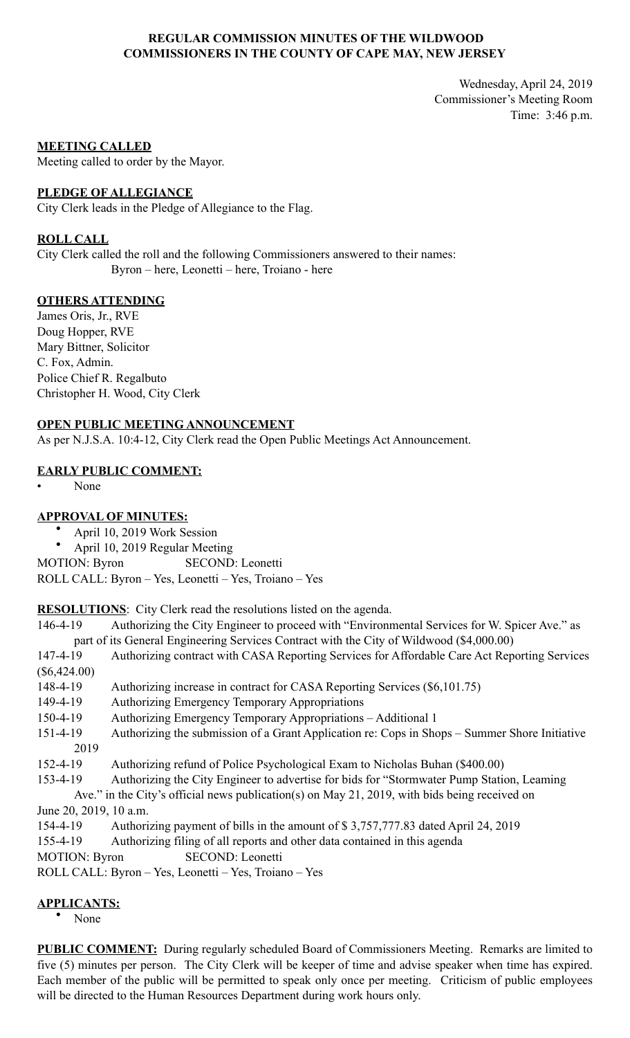# **REGULAR COMMISSION MINUTES OF THE WILDWOOD COMMISSIONERS IN THE COUNTY OF CAPE MAY, NEW JERSEY**

Wednesday, April 24, 2019 Commissioner's Meeting Room Time: 3:46 p.m.

### **MEETING CALLED**

Meeting called to order by the Mayor.

### **PLEDGE OF ALLEGIANCE**

City Clerk leads in the Pledge of Allegiance to the Flag.

### **ROLL CALL**

City Clerk called the roll and the following Commissioners answered to their names: Byron – here, Leonetti – here, Troiano - here

# **OTHERS ATTENDING**

James Oris, Jr., RVE Doug Hopper, RVE Mary Bittner, Solicitor C. Fox, Admin. Police Chief R. Regalbuto Christopher H. Wood, City Clerk

# **OPEN PUBLIC MEETING ANNOUNCEMENT**

As per N.J.S.A. 10:4-12, City Clerk read the Open Public Meetings Act Announcement.

# **EARLY PUBLIC COMMENT:**

• None

# **APPROVAL OF MINUTES:**

- April 10, 2019 Work Session
- April 10, 2019 Regular Meeting

MOTION: Byron SECOND: Leonetti

ROLL CALL: Byron – Yes, Leonetti – Yes, Troiano – Yes

**RESOLUTIONS**: City Clerk read the resolutions listed on the agenda.

146-4-19 Authorizing the City Engineer to proceed with "Environmental Services for W. Spicer Ave." as part of its General Engineering Services Contract with the City of Wildwood (\$4,000.00)

- 147-4-19 Authorizing contract with CASA Reporting Services for Affordable Care Act Reporting Services (\$6,424.00)
- 148-4-19 Authorizing increase in contract for CASA Reporting Services (\$6,101.75)
- 149-4-19 Authorizing Emergency Temporary Appropriations

150-4-19 Authorizing Emergency Temporary Appropriations – Additional 1

151-4-19 Authorizing the submission of a Grant Application re: Cops in Shops – Summer Shore Initiative 2019

152-4-19 Authorizing refund of Police Psychological Exam to Nicholas Buhan (\$400.00)

153-4-19 Authorizing the City Engineer to advertise for bids for "Stormwater Pump Station, Leaming

 Ave." in the City's official news publication(s) on May 21, 2019, with bids being received on June 20, 2019, 10 a.m.

154-4-19 Authorizing payment of bills in the amount of \$ 3,757,777.83 dated April 24, 2019

155-4-19 Authorizing filing of all reports and other data contained in this agenda

MOTION: Byron SECOND: Leonetti

ROLL CALL: Byron – Yes, Leonetti – Yes, Troiano – Yes

# **APPLICANTS:**

• None

**PUBLIC COMMENT:** During regularly scheduled Board of Commissioners Meeting. Remarks are limited to five (5) minutes per person. The City Clerk will be keeper of time and advise speaker when time has expired. Each member of the public will be permitted to speak only once per meeting. Criticism of public employees will be directed to the Human Resources Department during work hours only.